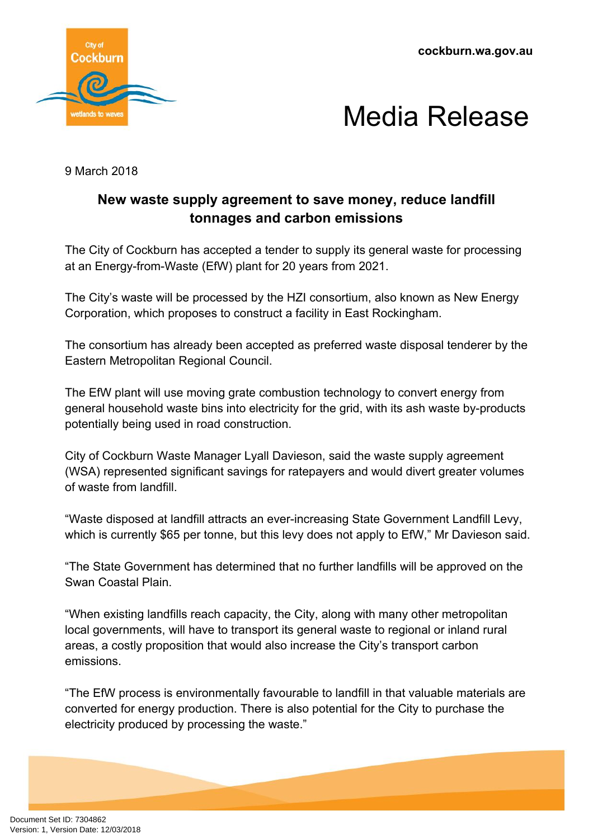**cockburn.wa.gov.au**





9 March 2018

## **New waste supply agreement to save money, reduce landfill tonnages and carbon emissions**

The City of Cockburn has accepted a tender to supply its general waste for processing at an Energy-from-Waste (EfW) plant for 20 years from 2021.

The City's waste will be processed by the HZI consortium, also known as New Energy Corporation, which proposes to construct a facility in East Rockingham.

The consortium has already been accepted as preferred waste disposal tenderer by the Eastern Metropolitan Regional Council.

The EfW plant will use moving grate combustion technology to convert energy from general household waste bins into electricity for the grid, with its ash waste by-products potentially being used in road construction.

City of Cockburn Waste Manager Lyall Davieson, said the waste supply agreement (WSA) represented significant savings for ratepayers and would divert greater volumes of waste from landfill.

"Waste disposed at landfill attracts an ever-increasing State Government Landfill Levy, which is currently \$65 per tonne, but this levy does not apply to EfW," Mr Davieson said.

"The State Government has determined that no further landfills will be approved on the Swan Coastal Plain.

"When existing landfills reach capacity, the City, along with many other metropolitan local governments, will have to transport its general waste to regional or inland rural areas, a costly proposition that would also increase the City's transport carbon emissions.

"The EfW process is environmentally favourable to landfill in that valuable materials are converted for energy production. There is also potential for the City to purchase the electricity produced by processing the waste."

Document Set ID: 7304862<br>Version: 1, Version Date: 12/03/2018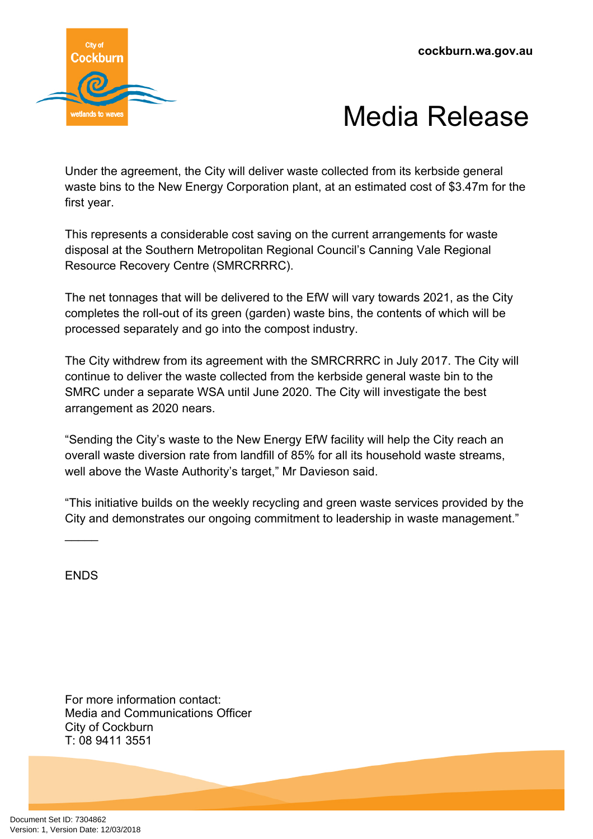

## Media Release

Under the agreement, the City will deliver waste collected from its kerbside general waste bins to the New Energy Corporation plant, at an estimated cost of \$3.47m for the first year.

This represents a considerable cost saving on the current arrangements for waste disposal at the Southern Metropolitan Regional Council's Canning Vale Regional Resource Recovery Centre (SMRCRRRC).

The net tonnages that will be delivered to the EfW will vary towards 2021, as the City completes the roll-out of its green (garden) waste bins, the contents of which will be processed separately and go into the compost industry.

The City withdrew from its agreement with the SMRCRRRC in July 2017. The City will continue to deliver the waste collected from the kerbside general waste bin to the SMRC under a separate WSA until June 2020. The City will investigate the best arrangement as 2020 nears.

"Sending the City's waste to the New Energy EfW facility will help the City reach an overall waste diversion rate from landfill of 85% for all its household waste streams, well above the Waste Authority's target," Mr Davieson said.

"This initiative builds on the weekly recycling and green waste services provided by the City and demonstrates our ongoing commitment to leadership in waste management."

**FNDS** 

 $\overline{\phantom{a}}$ 

For more information contact: Media and Communications Officer City of Cockburn T: 08 9411 3551